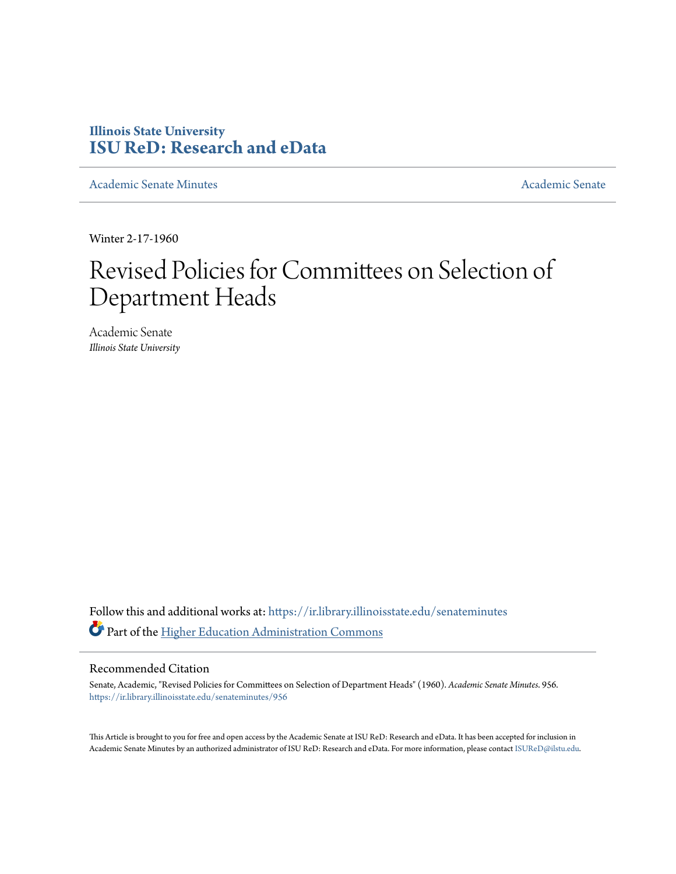## **Illinois State University [ISU ReD: Research and eData](https://ir.library.illinoisstate.edu?utm_source=ir.library.illinoisstate.edu%2Fsenateminutes%2F956&utm_medium=PDF&utm_campaign=PDFCoverPages)**

[Academic Senate Minutes](https://ir.library.illinoisstate.edu/senateminutes?utm_source=ir.library.illinoisstate.edu%2Fsenateminutes%2F956&utm_medium=PDF&utm_campaign=PDFCoverPages) [Academic Senate](https://ir.library.illinoisstate.edu/senate?utm_source=ir.library.illinoisstate.edu%2Fsenateminutes%2F956&utm_medium=PDF&utm_campaign=PDFCoverPages) Academic Senate

Winter 2-17-1960

## Revised Policies for Committees on Selection of Department Heads

Academic Senate *Illinois State University*

Follow this and additional works at: [https://ir.library.illinoisstate.edu/senateminutes](https://ir.library.illinoisstate.edu/senateminutes?utm_source=ir.library.illinoisstate.edu%2Fsenateminutes%2F956&utm_medium=PDF&utm_campaign=PDFCoverPages) Part of the [Higher Education Administration Commons](http://network.bepress.com/hgg/discipline/791?utm_source=ir.library.illinoisstate.edu%2Fsenateminutes%2F956&utm_medium=PDF&utm_campaign=PDFCoverPages)

## Recommended Citation

Senate, Academic, "Revised Policies for Committees on Selection of Department Heads" (1960). *Academic Senate Minutes*. 956. [https://ir.library.illinoisstate.edu/senateminutes/956](https://ir.library.illinoisstate.edu/senateminutes/956?utm_source=ir.library.illinoisstate.edu%2Fsenateminutes%2F956&utm_medium=PDF&utm_campaign=PDFCoverPages)

This Article is brought to you for free and open access by the Academic Senate at ISU ReD: Research and eData. It has been accepted for inclusion in Academic Senate Minutes by an authorized administrator of ISU ReD: Research and eData. For more information, please contact [ISUReD@ilstu.edu.](mailto:ISUReD@ilstu.edu)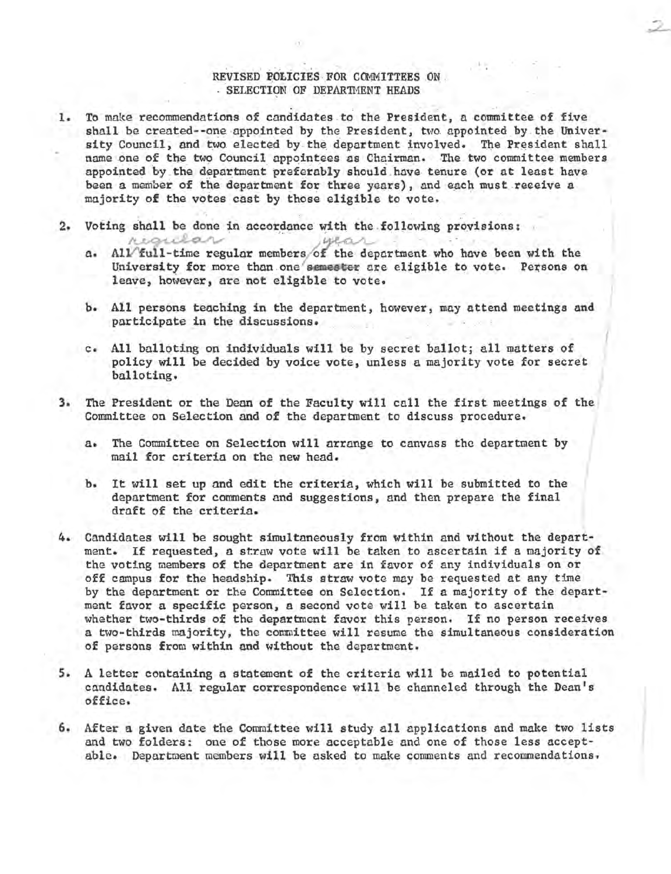## REVISED POLICIES FOR COMMITTEES ON .<br>. SELECTION OF DEPARTMENT HEADS

- 1. To make recommendations of candidates to the President, a committee of five shall be created--one appointed by the President, two appointed by the University Council, and two elected by the department involved. The President shall name one of the two Council appointees as Chairman. The two committee members appointed by the department preferably should have tenure (or at least have been a member of the department for three years), and each must receive a majority of the votes cast by those eligible to vote.
- 2. Voting shall be done in accordance with the following provisions:
	- a. All full-time regular members of the department who have been with the University for more than one semester are eligible to vote. Persons on leave, however, are not eligible to vote.
	- b. All persons teaching in the department, however, may attend meetings and participate in the discussions.
	- c. All balloting on individuals will be by secret ballot; all matters of policy will be decided by voice vote, unless a majority vote for secret / balloting.
- 3. The President or the Dean of the Faculty will call the first meetings of the j Committee on Selection and of the department to discuss procedure.
	- a. The Committee on Selection will arrange to canvass the department by mail for criteria on the new head.
	- b. It will set up and edit the criteria, which will be submitted to the department for comments and suggestions, and then prepare the final draft of the criteria.
- 4. Candidates will be sought simultaneously from within and without the department. If requested, a straw vote will be taken to ascertain if a majority of the voting members of the department are in favor of any individuals on or off campus for the headship. This straw vote may be requested at any time by the department or the Committee on Selection. If a majority of the department favor a specific person, a second vote will be taken to ascertain whether two-thirds of the department favor this person. If no person receives a two-thirds majority, the committee will resume the simultaneous consideration of persons from within and without the department.
- 5. A letter containing a statement of the criteria will be mailed to potential candidates. All regular correspondence will be channeled through the Dean's office.
- 6. After a given date the Committee will study all applications and make two lists and two folders: one of those more acceptable and one of those less acceptable. Department members will be asked to make comments and recommendations.